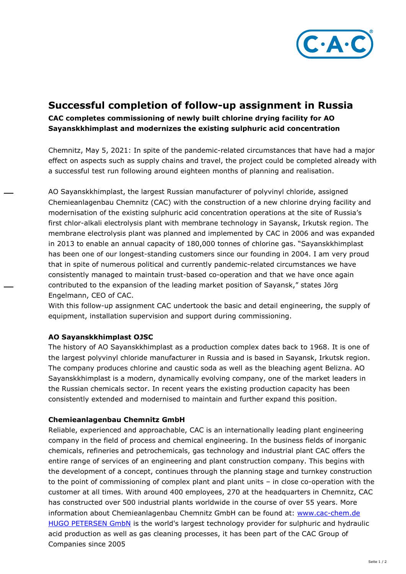

## **Successful completion of follow-up assignment in Russia**

## **CAC completes commissioning of newly built chlorine drying facility for AO Sayanskkhimplast and modernizes the existing sulphuric acid concentration**

Chemnitz, May 5, 2021: In spite of the pandemic-related circumstances that have had a major effect on aspects such as supply chains and travel, the project could be completed already with a successful test run following around eighteen months of planning and realisation.

AO Sayanskkhimplast, the largest Russian manufacturer of polyvinyl chloride, assigned Chemieanlagenbau Chemnitz (CAC) with the construction of a new chlorine drying facility and modernisation of the existing sulphuric acid concentration operations at the site of Russia's first chlor-alkali electrolysis plant with membrane technology in Sayansk, Irkutsk region. The membrane electrolysis plant was planned and implemented by CAC in 2006 and was expanded in 2013 to enable an annual capacity of 180,000 tonnes of chlorine gas. "Sayanskkhimplast has been one of our longest-standing customers since our founding in 2004. I am very proud that in spite of numerous political and currently pandemic-related circumstances we have consistently managed to maintain trust-based co-operation and that we have once again contributed to the expansion of the leading market position of Sayansk," states Jörg Engelmann, CEO of CAC.

With this follow-up assignment CAC undertook the basic and detail engineering, the supply of equipment, installation supervision and support during commissioning.

## **AO Sayanskkhimplast OJSC**

The history of AO Sayanskkhimplast as a production complex dates back to 1968. It is one of the largest polyvinyl chloride manufacturer in Russia and is based in Sayansk, Irkutsk region. The company produces chlorine and caustic soda as well as the bleaching agent Belizna. AO Sayanskkhimplast is a modern, dynamically evolving company, one of the market leaders in the Russian chemicals sector. In recent years the existing production capacity has been consistently extended and modernised to maintain and further expand this position.

## **Chemieanlagenbau Chemnitz GmbH**

Reliable, experienced and approachable, CAC is an internationally leading plant engineering company in the field of process and chemical engineering. In the business fields of inorganic chemicals, refineries and petrochemicals, gas technology and industrial plant CAC offers the entire range of services of an engineering and plant construction company. This begins with the development of a concept, continues through the planning stage and turnkey construction to the point of commissioning of complex plant and plant units – in close co-operation with the customer at all times. With around 400 employees, 270 at the headquarters in Chemnitz, CAC has constructed over 500 industrial plants worldwide in the course of over 55 years. More information about Chemieanlagenbau Chemnitz GmbH can be found at: [www.cac-chem.de](http://www.cac-chem.de/)  [HUGO PETERSEN GmbN](https://www.hugo-petersen.de/Home.aspx) is the world's largest technology provider for sulphuric and hydraulic acid production as well as gas cleaning processes, it has been part of the CAC Group of Companies since 2005